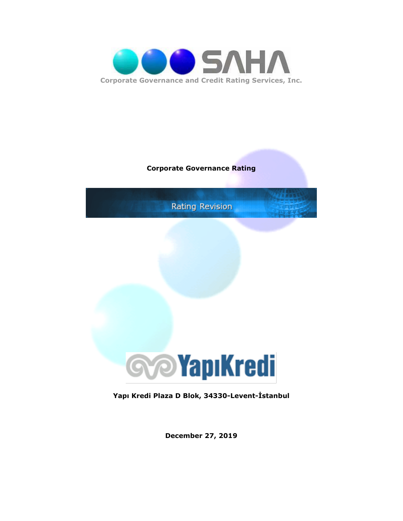

### **Corporate Governance Rating**



**Yapı Kredi Plaza D Blok, 34330-Levent-İstanbul**

**December 27, 2019**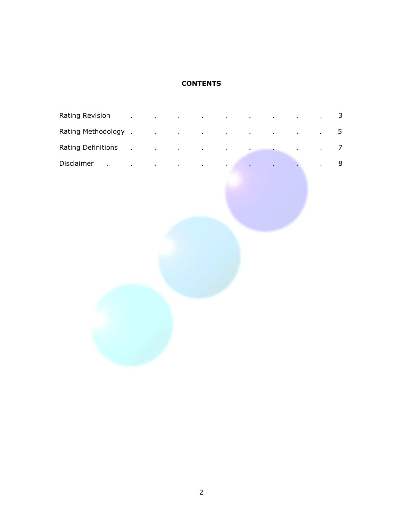## **CONTENTS**

| Rating Revision      |  |  |  |  | 3              |
|----------------------|--|--|--|--|----------------|
| Rating Methodology . |  |  |  |  | 5              |
| Rating Definitions   |  |  |  |  | $\overline{7}$ |
| Disclaimer           |  |  |  |  | 8              |
|                      |  |  |  |  |                |
|                      |  |  |  |  |                |
|                      |  |  |  |  |                |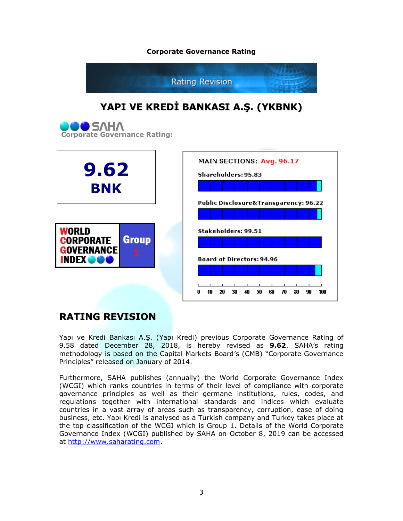#### **Corporate Governance Rating**



# **RATING REVISION**

Yapı ve Kredi Bankası A.Ş. (Yapı Kredi) previous Corporate Governance Rating of 9.58 dated December 28, 2018, is hereby revised as **9.62**. SAHA"s rating methodology is based on the Capital Markets Board"s (CMB) "Corporate Governance Principles" released on January of 2014.

0 10 20 30 40

50 60

70

80 -90 100

Furthermore, SAHA publishes (annually) the World Corporate Governance Index (WCGI) which ranks countries in terms of their level of compliance with corporate governance principles as well as their germane institutions, rules, codes, and regulations together with international standards and indices which evaluate countries in a vast array of areas such as transparency, corruption, ease of doing business, etc. Yapı Kredi is analysed as a Turkish company and Turkey takes place at the top classification of the WCGI which is Group 1. Details of the World Corporate Governance Index (WCGI) published by SAHA on October 8, 2019 can be accessed at [http://www.saharating.com.](http://www.saharating.com/)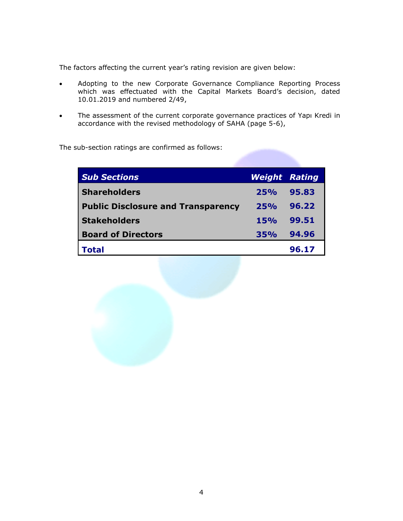The factors affecting the current year's rating revision are given below:

- Adopting to the new Corporate Governance Compliance Reporting Process which was effectuated with the Capital Markets Board's decision, dated 10.01.2019 and numbered 2/49,
- The assessment of the current corporate governance practices of Yapı Kredi in accordance with the revised methodology of SAHA (page 5-6),

The sub-section ratings are confirmed as follows:

| <b>Sub Sections</b>                       | <b>Weight Rating</b> |       |
|-------------------------------------------|----------------------|-------|
| <b>Shareholders</b>                       | 25%                  | 95.83 |
| <b>Public Disclosure and Transparency</b> | 25%                  | 96.22 |
| <b>Stakeholders</b>                       | 15%                  | 99.51 |
| <b>Board of Directors</b>                 | 35%                  | 94.96 |
| Total                                     |                      | 96.17 |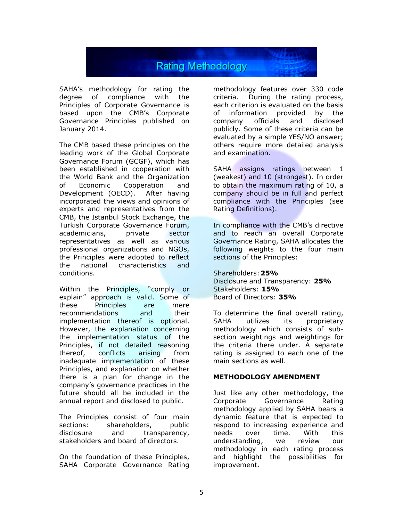

SAHA"s methodology for rating the degree of compliance with the Principles of Corporate Governance is based upon the CMB"s Corporate Governance Principles published on January 2014.

The CMB based these principles on the leading work of the Global Corporate Governance Forum (GCGF), which has been established in cooperation with the World Bank and the Organization of Economic Cooperation and Development (OECD). After having incorporated the views and opinions of experts and representatives from the CMB, the Istanbul Stock Exchange, the Turkish Corporate Governance Forum, academicians, private sector representatives as well as various professional organizations and NGOs, the Principles were adopted to reflect the national characteristics and conditions.

Within the Principles, "comply or explain" approach is valid. Some of these Principles are mere recommendations and their implementation thereof is optional. However, the explanation concerning the implementation status of the Principles, if not detailed reasoning thereof, conflicts arising from inadequate implementation of these Principles, and explanation on whether there is a plan for change in the company"s governance practices in the future should all be included in the annual report and disclosed to public.

The Principles consist of four main sections: shareholders, public disclosure and transparency, stakeholders and board of directors.

On the foundation of these Principles, SAHA Corporate Governance Rating methodology features over 330 code criteria. During the rating process, each criterion is evaluated on the basis of information provided by the company officials and disclosed publicly. Some of these criteria can be evaluated by a simple YES/NO answer; others require more detailed analysis and examination.

SAHA assigns ratings between 1 (weakest) and 10 (strongest). In order to obtain the maximum rating of 10, a company should be in full and perfect compliance with the Principles (see Rating Definitions).

In compliance with the CMB's directive and to reach an overall Corporate Governance Rating, SAHA allocates the following weights to the four main sections of the Principles:

Shareholders:**25%** Disclosure and Transparency: **25%** Stakeholders: **15%** Board of Directors: **35%**

To determine the final overall rating, SAHA utilizes its proprietary methodology which consists of subsection weightings and weightings for the criteria there under. A separate rating is assigned to each one of the main sections as well.

#### **METHODOLOGY AMENDMENT**

Just like any other methodology, the Corporate Governance Rating methodology applied by SAHA bears a dynamic feature that is expected to respond to increasing experience and needs over time. With this understanding, we review our methodology in each rating process and highlight the possibilities for improvement.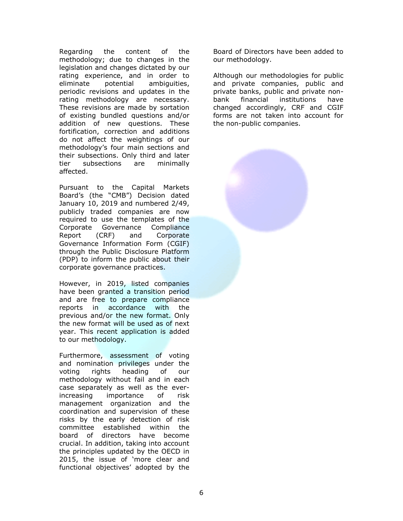Regarding the content of the methodology; due to changes in the legislation and changes dictated by our rating experience, and in order to eliminate potential ambiguities, periodic revisions and updates in the rating methodology are necessary. These revisions are made by sortation of existing bundled questions and/or addition of new questions. These fortification, correction and additions do not affect the weightings of our methodology"s four main sections and their subsections. Only third and later tier subsections are minimally affected.

Pursuant to the Capital Markets Board"s (the "CMB") Decision dated January 10, 2019 and numbered 2/49, publicly traded companies are now required to use the templates of the Corporate Governance Compliance Report (CRF) and Corporate Governance Information Form (CGIF) through the Public Disclosure Platform (PDP) to inform the public about their corporate governance practices.

However, in 2019, listed companies have been granted a transition period and are free to prepare compliance reports in accordance with the previous and/or the new format. Only the new format will be used as of next year. This recent application is added to our methodology.

Furthermore, assessment of voting and nomination privileges under the voting rights heading of our methodology without fail and in each case separately as well as the everincreasing importance of risk management organization and the coordination and supervision of these risks by the early detection of risk committee established within the board of directors have become crucial. In addition, taking into account the principles updated by the OECD in 2015, the issue of "more clear and functional objectives' adopted by the

Board of Directors have been added to our methodology.

Although our methodologies for public and private companies, public and private banks, public and private nonbank financial institutions have changed accordingly, CRF and CGIF forms are not taken into account for the non-public companies.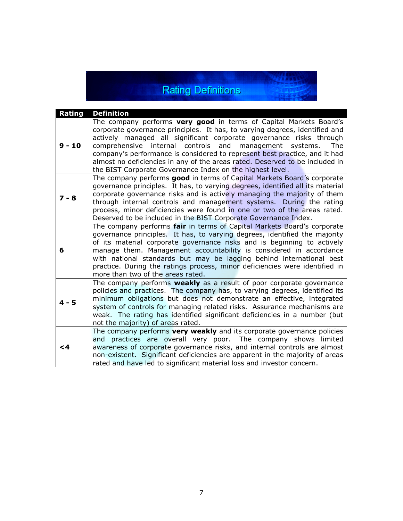# Rating Definitions

| Rating   | <b>Definition</b>                                                                                                                                                                                                                                                                                                                                                                                                                                                                                                     |
|----------|-----------------------------------------------------------------------------------------------------------------------------------------------------------------------------------------------------------------------------------------------------------------------------------------------------------------------------------------------------------------------------------------------------------------------------------------------------------------------------------------------------------------------|
| $9 - 10$ | The company performs very good in terms of Capital Markets Board's<br>corporate governance principles. It has, to varying degrees, identified and<br>actively managed all significant corporate governance risks through<br>comprehensive internal controls and management systems.<br>The<br>company's performance is considered to represent best practice, and it had<br>almost no deficiencies in any of the areas rated. Deserved to be included in<br>the BIST Corporate Governance Index on the highest level. |
| $7 - 8$  | The company performs good in terms of Capital Markets Board's corporate<br>governance principles. It has, to varying degrees, identified all its material<br>corporate governance risks and is actively managing the majority of them<br>through internal controls and management systems. During the rating<br>process, minor deficiencies were found in one or two of the areas rated.<br>Deserved to be included in the BIST Corporate Governance Index.                                                           |
| 6        | The company performs fair in terms of Capital Markets Board's corporate<br>governance principles. It has, to varying degrees, identified the majority<br>of its material corporate governance risks and is beginning to actively<br>manage them. Management accountability is considered in accordance<br>with national standards but may be lagging behind international best<br>practice. During the ratings process, minor deficiencies were identified in<br>more than two of the areas rated.                    |
| $4 - 5$  | The company performs weakly as a result of poor corporate governance<br>policies and practices. The company has, to varying degrees, identified its<br>minimum obligations but does not demonstrate an effective, integrated<br>system of controls for managing related risks. Assurance mechanisms are<br>weak. The rating has identified significant deficiencies in a number (but<br>not the majority) of areas rated.                                                                                             |
| <4       | The company performs very weakly and its corporate governance policies<br>and practices are overall very poor. The company shows limited<br>awareness of corporate governance risks, and internal controls are almost<br>non-existent. Significant deficiencies are apparent in the majority of areas<br>rated and have led to significant material loss and investor concern.                                                                                                                                        |